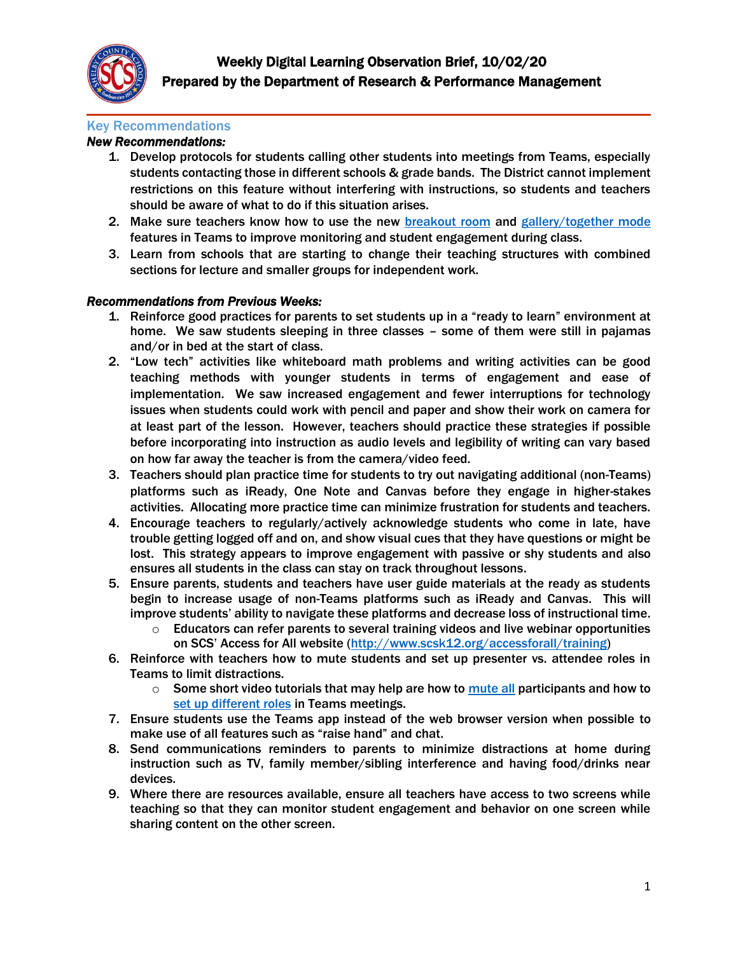

### Key Recommendations

# *New Recommendations:*

- 1. Develop protocols for students calling other students into meetings from Teams, especially students contacting those in different schools & grade bands. The District cannot implement restrictions on this feature without interfering with instructions, so students and teachers should be aware of what to do if this situation arises.
- 2. Make sure teachers know how to use the new [breakout](https://www.jumpto365.com/blog/how-to-use-breakout-rooms-in-microsoft-teams) room and [gallery/together mode](https://www.youtube.com/watch?v=ZlJUTNd8LXc) features in Teams to improve monitoring and student engagement during class.
- 3. Learn from schools that are starting to change their teaching structures with combined sections for lecture and smaller groups for independent work.

## *Recommendations from Previous Weeks:*

- 1. Reinforce good practices for parents to set students up in a "ready to learn" environment at home. We saw students sleeping in three classes – some of them were still in pajamas and/or in bed at the start of class.
- 2. "Low tech" activities like whiteboard math problems and writing activities can be good teaching methods with younger students in terms of engagement and ease of implementation. We saw increased engagement and fewer interruptions for technology issues when students could work with pencil and paper and show their work on camera for at least part of the lesson. However, teachers should practice these strategies if possible before incorporating into instruction as audio levels and legibility of writing can vary based on how far away the teacher is from the camera/video feed.
- 3. Teachers should plan practice time for students to try out navigating additional (non-Teams) platforms such as iReady, One Note and Canvas before they engage in higher-stakes activities. Allocating more practice time can minimize frustration for students and teachers.
- 4. Encourage teachers to regularly/actively acknowledge students who come in late, have trouble getting logged off and on, and show visual cues that they have questions or might be lost. This strategy appears to improve engagement with passive or shy students and also ensures all students in the class can stay on track throughout lessons.
- 5. Ensure parents, students and teachers have user guide materials at the ready as students begin to increase usage of non-Teams platforms such as iReady and Canvas. This will improve students' ability to navigate these platforms and decrease loss of instructional time.
	- $\circ$  Educators can refer parents to several training videos and live webinar opportunities on SCS' Access for All website ([http://www.scsk12.org/accessforall/training\)](http://www.scsk12.org/accessforall/training)
- 6. Reinforce with teachers how to mute students and set up presenter vs. attendee roles in Teams to limit distractions.
	- o Some short video tutorials that may help are how to [mute all](https://www.youtube.com/watch?v=f-LVDURpMR0) participants and how to [set up different roles](https://www.youtube.com/watch?v=WuMap5vWqNg) in Teams meetings.
- 7. Ensure students use the Teams app instead of the web browser version when possible to make use of all features such as "raise hand" and chat.
- 8. Send communications reminders to parents to minimize distractions at home during instruction such as TV, family member/sibling interference and having food/drinks near devices.
- 9. Where there are resources available, ensure all teachers have access to two screens while teaching so that they can monitor student engagement and behavior on one screen while sharing content on the other screen.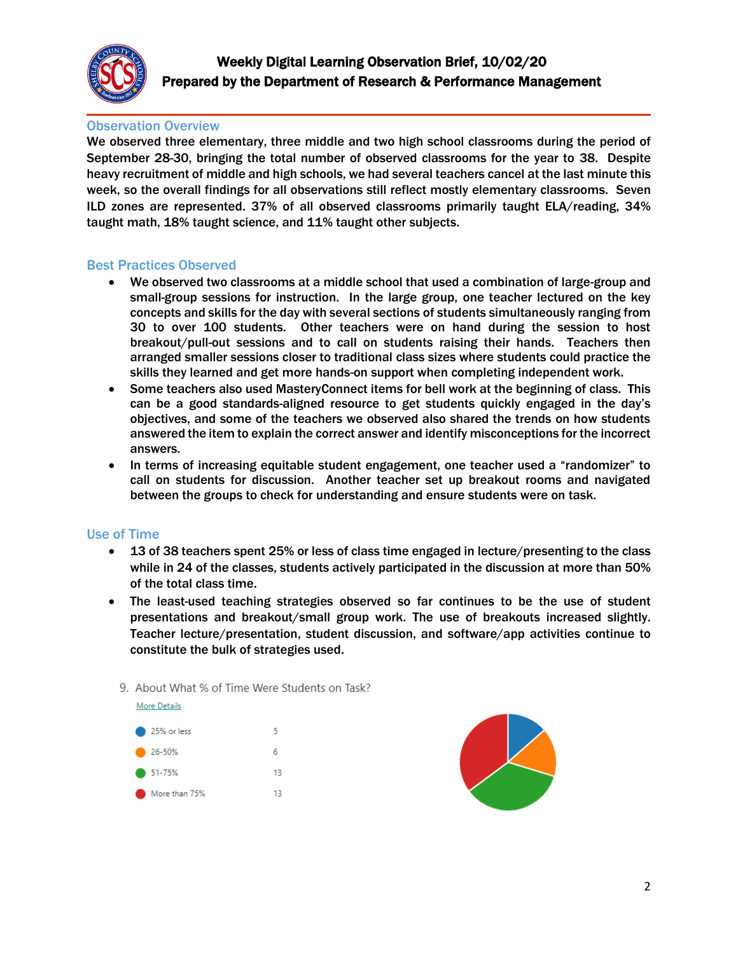

# Observation Overview

We observed three elementary, three middle and two high school classrooms during the period of September 28-30, bringing the total number of observed classrooms for the year to 38. Despite heavy recruitment of middle and high schools, we had several teachers cancel at the last minute this week, so the overall findings for all observations still reflect mostly elementary classrooms. Seven ILD zones are represented. 37% of all observed classrooms primarily taught ELA/reading, 34% taught math, 18% taught science, and 11% taught other subjects.

### Best Practices Observed

- We observed two classrooms at a middle school that used a combination of large-group and small-group sessions for instruction. In the large group, one teacher lectured on the key concepts and skills for the day with several sections of students simultaneously ranging from 30 to over 100 students. Other teachers were on hand during the session to host breakout/pull-out sessions and to call on students raising their hands. Teachers then arranged smaller sessions closer to traditional class sizes where students could practice the skills they learned and get more hands-on support when completing independent work.
- Some teachers also used MasteryConnect items for bell work at the beginning of class. This can be a good standards-aligned resource to get students quickly engaged in the day's objectives, and some of the teachers we observed also shared the trends on how students answered the item to explain the correct answer and identify misconceptions for the incorrect answers.
- In terms of increasing equitable student engagement, one teacher used a "randomizer" to call on students for discussion. Another teacher set up breakout rooms and navigated between the groups to check for understanding and ensure students were on task.

### Use of Time

- 13 of 38 teachers spent 25% or less of class time engaged in lecture/presenting to the class while in 24 of the classes, students actively participated in the discussion at more than 50% of the total class time.
- The least-used teaching strategies observed so far continues to be the use of student presentations and breakout/small group work. The use of breakouts increased slightly. Teacher lecture/presentation, student discussion, and software/app activities continue to constitute the bulk of strategies used.

### 9. About What % of Time Were Students on Task?



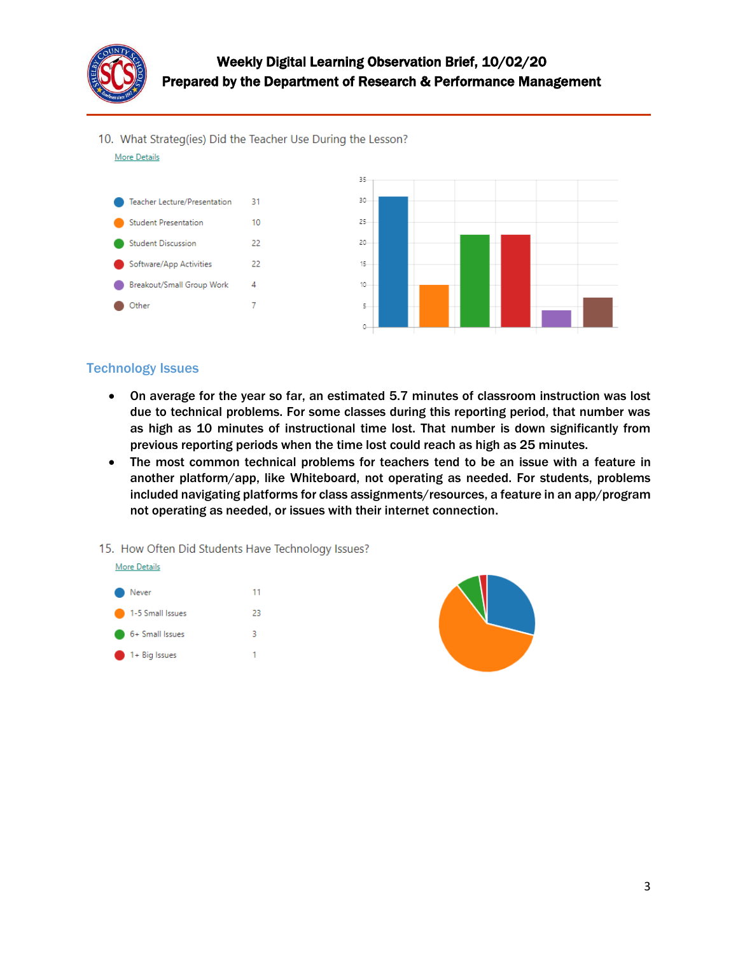

10. What Strateg(ies) Did the Teacher Use During the Lesson?

**More Details** 



# Technology Issues

- On average for the year so far, an estimated 5.7 minutes of classroom instruction was lost due to technical problems. For some classes during this reporting period, that number was as high as 10 minutes of instructional time lost. That number is down significantly from previous reporting periods when the time lost could reach as high as 25 minutes.
- The most common technical problems for teachers tend to be an issue with a feature in another platform/app, like Whiteboard, not operating as needed. For students, problems included navigating platforms for class assignments/resources, a feature in an app/program not operating as needed, or issues with their internet connection.
- 15. How Often Did Students Have Technology Issues?



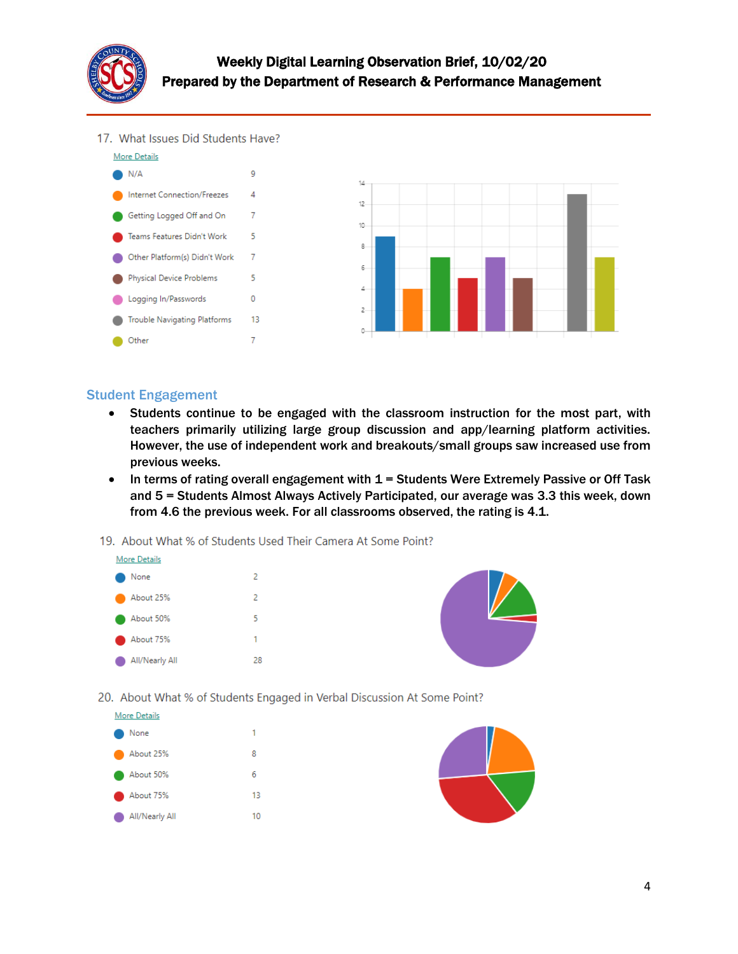

# Weekly Digital Learning Observation Brief, 10/02/20 Prepared by the Department of Research & Performance Management

17. What Issues Did Students Have?



## Student Engagement

- Students continue to be engaged with the classroom instruction for the most part, with teachers primarily utilizing large group discussion and app/learning platform activities. However, the use of independent work and breakouts/small groups saw increased use from previous weeks.
- $\bullet$  In terms of rating overall engagement with 1 = Students Were Extremely Passive or Off Task and 5 = Students Almost Always Actively Participated, our average was 3.3 this week, down from 4.6 the previous week. For all classrooms observed, the rating is 4.1.
- 19. About What % of Students Used Their Camera At Some Point?





20. About What % of Students Engaged in Verbal Discussion At Some Point?



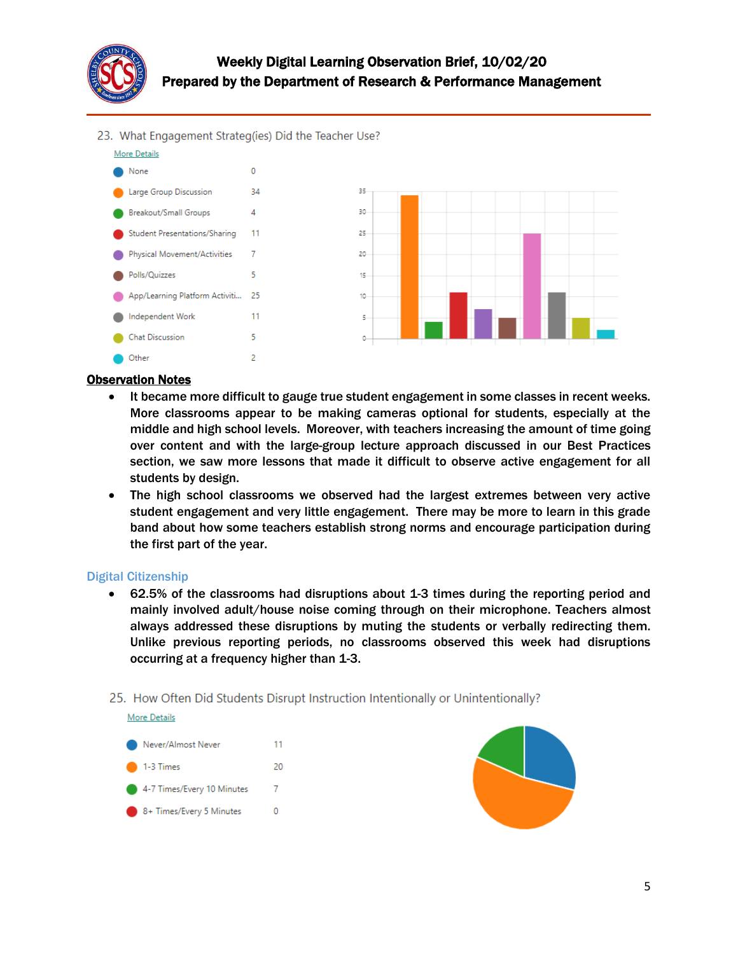

# Weekly Digital Learning Observation Brief, 10/02/20 Prepared by the Department of Research & Performance Management

23. What Engagement Strateg(ies) Did the Teacher Use?



#### Observation Notes

- It became more difficult to gauge true student engagement in some classes in recent weeks. More classrooms appear to be making cameras optional for students, especially at the middle and high school levels. Moreover, with teachers increasing the amount of time going over content and with the large-group lecture approach discussed in our Best Practices section, we saw more lessons that made it difficult to observe active engagement for all students by design.
- The high school classrooms we observed had the largest extremes between very active student engagement and very little engagement. There may be more to learn in this grade band about how some teachers establish strong norms and encourage participation during the first part of the year.

#### Digital Citizenship

**More Details** 

- 62.5% of the classrooms had disruptions about 1-3 times during the reporting period and mainly involved adult/house noise coming through on their microphone. Teachers almost always addressed these disruptions by muting the students or verbally redirecting them. Unlike previous reporting periods, no classrooms observed this week had disruptions occurring at a frequency higher than 1-3.
- 25. How Often Did Students Disrupt Instruction Intentionally or Unintentionally?